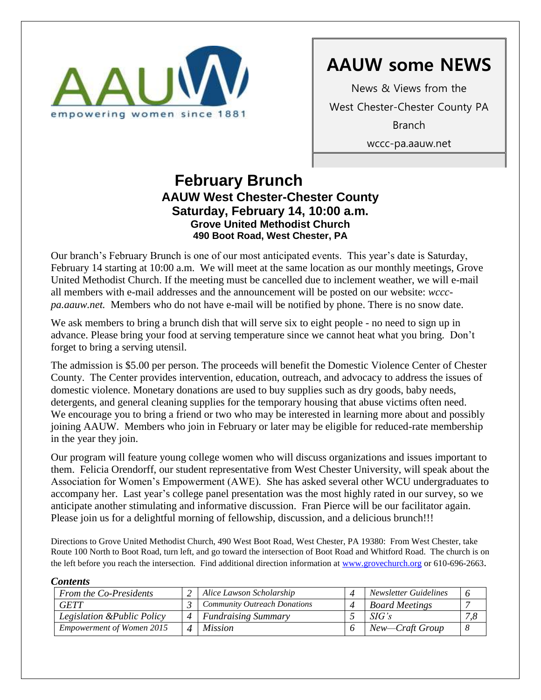

News & Views from the West Chester-Chester County PA Branch wccc-pa.aauw.net

### **February Brunch AAUW West Chester-Chester County Saturday, February 14, 10:00 a.m. Grove United Methodist Church 490 Boot Road, West Chester, PA**  $\mathbf{F}$

Our branch's February Brunch is one of our most anticipated events. This year's date is Saturday, February 14 starting at 10:00 a.m. We will meet at the same location as our monthly meetings, Grove United Methodist Church. If the meeting must be cancelled due to inclement weather, we will e-mail all members with e-mail addresses and the announcement will be posted on our website: *wcccpa.aauw.net.* Members who do not have e-mail will be notified by phone. There is no snow date.

We ask members to bring a brunch dish that will serve six to eight people - no need to sign up in advance. Please bring your food at serving temperature since we cannot heat what you bring. Don't forget to bring a serving utensil.

The admission is \$5.00 per person. The proceeds will benefit the Domestic Violence Center of Chester County. The Center provides intervention, education, outreach, and advocacy to address the issues of domestic violence. Monetary donations are used to buy supplies such as dry goods, baby needs, detergents, and general cleaning supplies for the temporary housing that abuse victims often need. We encourage you to bring a friend or two who may be interested in learning more about and possibly joining AAUW. Members who join in February or later may be eligible for reduced-rate membership in the year they join.

Our program will feature young college women who will discuss organizations and issues important to them. Felicia Orendorff, our student representative from West Chester University, will speak about the Association for Women's Empowerment (AWE). She has asked several other WCU undergraduates to accompany her. Last year's college panel presentation was the most highly rated in our survey, so we anticipate another stimulating and informative discussion. Fran Pierce will be our facilitator again. Please join us for a delightful morning of fellowship, discussion, and a delicious brunch!!!

Directions to Grove United Methodist Church, 490 West Boot Road, West Chester, PA 19380: From West Chester, take Route 100 North to Boot Road, turn left, and go toward the intersection of Boot Road and Whitford Road. The church is on the left before you reach the intersection. Find additional direction information at [www.grovechurch.org](http://www.grovechurch.org/) or 610-696-2663.

### *Contents*

|  | <b>From the Co-Presidents</b>    |  | Alice Lawson Scholarship            |  | Newsletter Guidelines |  |
|--|----------------------------------|--|-------------------------------------|--|-----------------------|--|
|  | <b>GETT</b>                      |  | <b>Community Outreach Donations</b> |  | <b>Board Meetings</b> |  |
|  | Legislation & Public Policy      |  | <i>Fundraising Summary</i>          |  | SIG's                 |  |
|  | <b>Empowerment of Women 2015</b> |  | <i>Mission</i>                      |  | New—Craft Group       |  |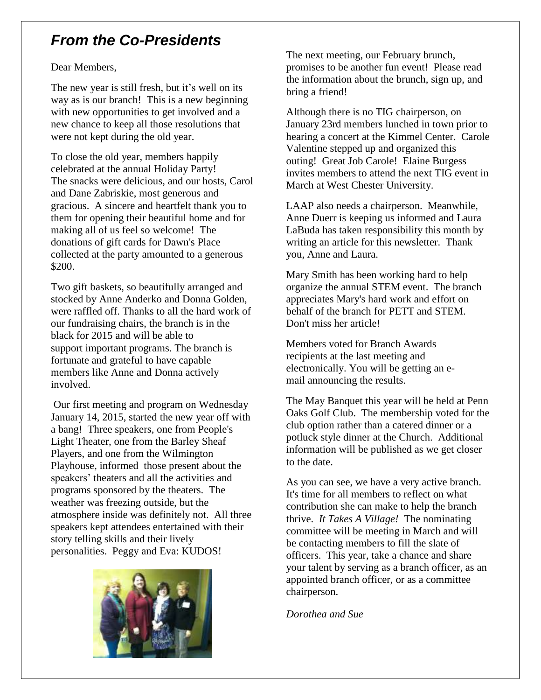# *From the Co-Presidents*

## Dear Members,

The new year is still fresh, but it's well on its way as is our branch! This is a new beginning with new opportunities to get involved and a new chance to keep all those resolutions that were not kept during the old year.

To close the old year, members happily celebrated at the annual Holiday Party! The snacks were delicious, and our hosts, Carol and Dane Zabriskie, most generous and gracious. A sincere and heartfelt thank you to them for opening their beautiful home and for making all of us feel so welcome! The donations of gift cards for Dawn's Place collected at the party amounted to a generous \$200.

Two gift baskets, so beautifully arranged and stocked by Anne Anderko and Donna Golden, were raffled off. Thanks to all the hard work of our fundraising chairs, the branch is in the black for 2015 and will be able to support important programs. The branch is fortunate and grateful to have capable members like Anne and Donna actively involved.

Our first meeting and program on Wednesday January 14, 2015, started the new year off with a bang! Three speakers, one from People's Light Theater, one from the Barley Sheaf Players, and one from the Wilmington Playhouse, informed those present about the speakers' theaters and all the activities and programs sponsored by the theaters. The weather was freezing outside, but the atmosphere inside was definitely not. All three speakers kept attendees entertained with their story telling skills and their lively personalities. Peggy and Eva: KUDOS!



The next meeting, our February brunch, promises to be another fun event! Please read the information about the brunch, sign up, and bring a friend!

Although there is no TIG chairperson, on January 23rd members lunched in town prior to hearing a concert at the Kimmel Center. Carole Valentine stepped up and organized this outing! Great Job Carole! Elaine Burgess invites members to attend the next TIG event in March at West Chester University.

LAAP also needs a chairperson. Meanwhile, Anne Duerr is keeping us informed and Laura LaBuda has taken responsibility this month by writing an article for this newsletter. Thank you, Anne and Laura.

Mary Smith has been working hard to help organize the annual STEM event. The branch appreciates Mary's hard work and effort on behalf of the branch for PETT and STEM. Don't miss her article!

Members voted for Branch Awards recipients at the last meeting and electronically. You will be getting an email announcing the results.

The May Banquet this year will be held at Penn Oaks Golf Club. The membership voted for the club option rather than a catered dinner or a potluck style dinner at the Church. Additional information will be published as we get closer to the date.

As you can see, we have a very active branch. It's time for all members to reflect on what contribution she can make to help the branch thrive. *It Takes A Village!* The nominating committee will be meeting in March and will be contacting members to fill the slate of officers. This year, take a chance and share your talent by serving as a branch officer, as an appointed branch officer, or as a committee chairperson.

*Dorothea and Sue*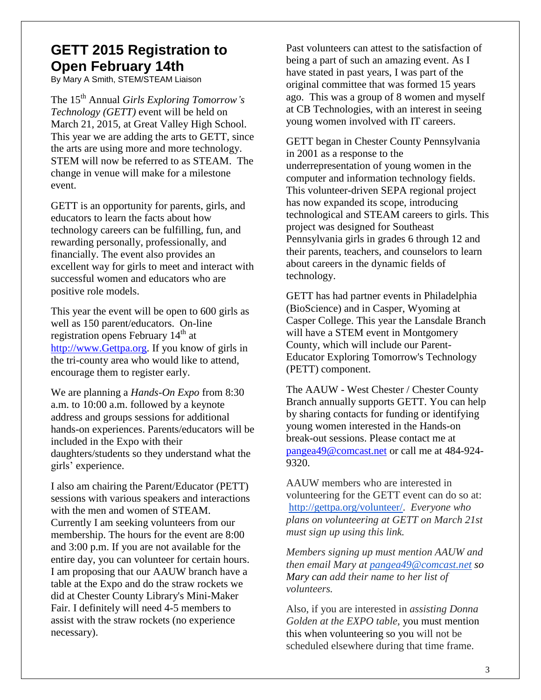# **GETT 2015 Registration to Open February 14th**

By Mary A Smith, STEM/STEAM Liaison

The 15th Annual *Girls Exploring Tomorrow's Technology (GETT)* event will be held on March 21, 2015, at Great Valley High School. This year we are adding the arts to GETT, since the arts are using more and more technology. STEM will now be referred to as STEAM. The change in venue will make for a milestone event.

GETT is an opportunity for parents, girls, and educators to learn the facts about how technology careers can be fulfilling, fun, and rewarding personally, professionally, and financially. The event also provides an excellent way for girls to meet and interact with successful women and educators who are positive role models.

This year the event will be open to 600 girls as well as 150 parent/educators. On-line registration opens February  $14<sup>th</sup>$  at [http://www.Gettpa.org.](http://www.itagpa.org/) If you know of girls in the tri-county area who would like to attend, encourage them to register early.

We are planning a *Hands-On Expo* from 8:30 a.m. to 10:00 a.m. followed by a keynote address and groups sessions for additional hands-on experiences. Parents/educators will be included in the Expo with their daughters/students so they understand what the girls' experience.

I also am chairing the Parent/Educator (PETT) sessions with various speakers and interactions with the men and women of STEAM. Currently I am seeking volunteers from our membership. The hours for the event are 8:00 and 3:00 p.m. If you are not available for the entire day, you can volunteer for certain hours. I am proposing that our AAUW branch have a table at the Expo and do the straw rockets we did at Chester County Library's Mini-Maker Fair. I definitely will need 4-5 members to assist with the straw rockets (no experience necessary).

Past volunteers can attest to the satisfaction of being a part of such an amazing event. As I have stated in past years, I was part of the original committee that was formed 15 years ago. This was a group of 8 women and myself at CB Technologies, with an interest in seeing young women involved with IT careers.

GETT began in Chester County Pennsylvania in 2001 as a response to the underrepresentation of young women in the computer and information technology fields. This volunteer-driven SEPA regional project has now expanded its scope, introducing technological and STEAM careers to girls. This project was designed for Southeast Pennsylvania girls in grades 6 through 12 and their parents, teachers, and counselors to learn about careers in the dynamic fields of technology.

GETT has had partner events in Philadelphia (BioScience) and in Casper, Wyoming at Casper College. This year the Lansdale Branch will have a STEM event in Montgomery County, which will include our Parent-Educator Exploring Tomorrow's Technology (PETT) component.

The AAUW - West Chester / Chester County Branch annually supports GETT. You can help by sharing contacts for funding or identifying young women interested in the Hands-on break-out sessions. Please contact me at [pangea49@comcast.net](mailto:pangea49@comcast.net) or call me at 484-924- 9320.

AAUW members who are interested in volunteering for the GETT event can do so at: [http://gettpa.org/volunteer/.](http://gettpa.org/volunteer/) *Everyone who plans on volunteering at GETT on March 21st must sign up using this link.*

*Members signing up must mention AAUW and then email Mary at [pangea49@comcast.net](mailto:pangea49@comcast.net) so Mary can add their name to her list of volunteers.*

Also, if you are interested in *assisting Donna Golden at the EXPO table,* you must mention this when volunteering so you will not be scheduled elsewhere during that time frame.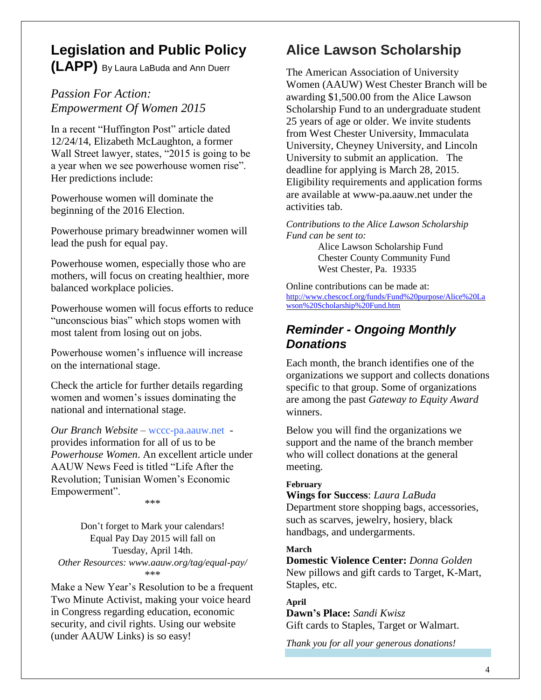# **Legislation and Public Policy (LAPP)** By Laura LaBuda and Ann Duerr

## *Passion For Action: Empowerment Of Women 2015*

In a recent "Huffington Post" article dated 12/24/14, Elizabeth McLaughton, a former Wall Street lawyer, states, "2015 is going to be a year when we see powerhouse women rise". Her predictions include:

Powerhouse women will dominate the beginning of the 2016 Election.

Powerhouse primary breadwinner women will lead the push for equal pay.

Powerhouse women, especially those who are mothers, will focus on creating healthier, more balanced workplace policies.

Powerhouse women will focus efforts to reduce "unconscious bias" which stops women with most talent from losing out on jobs.

Powerhouse women's influence will increase on the international stage.

Check the article for further details regarding women and women's issues dominating the national and international stage.

*Our Branch Website* – wccc-pa.aauw.net provides information for all of us to be *Powerhouse Women*. An excellent article under AAUW News Feed is titled "Life After the Revolution; Tunisian Women's Economic Empowerment".

\*\*\*

Don't forget to Mark your calendars! Equal Pay Day 2015 will fall on Tuesday, April 14th. *Other Resources: www.aauw.org/tag/equal-pay/* \*\*\*

Make a New Year's Resolution to be a frequent Two Minute Activist, making your voice heard in Congress regarding education, economic security, and civil rights. Using our website (under AAUW Links) is so easy!

# **Alice Lawson Scholarship**

The American Association of University Women (AAUW) West Chester Branch will be awarding \$1,500.00 from the Alice Lawson Scholarship Fund to an undergraduate student 25 years of age or older. We invite students from West Chester University, Immaculata University, Cheyney University, and Lincoln University to submit an application. The deadline for applying is March 28, 2015. Eligibility requirements and application forms are available at www-pa.aauw.net under the activities tab.

*Contributions to the Alice Lawson Scholarship Fund can be sent to:*

> Alice Lawson Scholarship Fund Chester County Community Fund West Chester, Pa. 19335

Online contributions can be made at: [http://www.chescocf.org/funds/Fund%20purpose/Alice%20La](http://www.chescocf.org/funds/Fund%20purpose/Alice%20Lawson%20Scholarship%20Fund.htm) [wson%20Scholarship%20Fund.htm](http://www.chescocf.org/funds/Fund%20purpose/Alice%20Lawson%20Scholarship%20Fund.htm)

# *Reminder - Ongoing Monthly Donations*

Each month, the branch identifies one of the organizations we support and collects donations specific to that group. Some of organizations are among the past *Gateway to Equity Award* winners.

Below you will find the organizations we support and the name of the branch member who will collect donations at the general meeting.

### **February**

**Wings for Success**: *Laura LaBuda* Department store shopping bags, accessories, such as scarves, jewelry, hosiery, black handbags, and undergarments.

## **March**

**Domestic Violence Center:** *Donna Golden* New pillows and gift cards to Target, K-Mart, Staples, etc.

## **April**

**Dawn's Place:** *Sandi Kwisz* Gift cards to Staples, Target or Walmart.

*Thank you for all your generous donations!*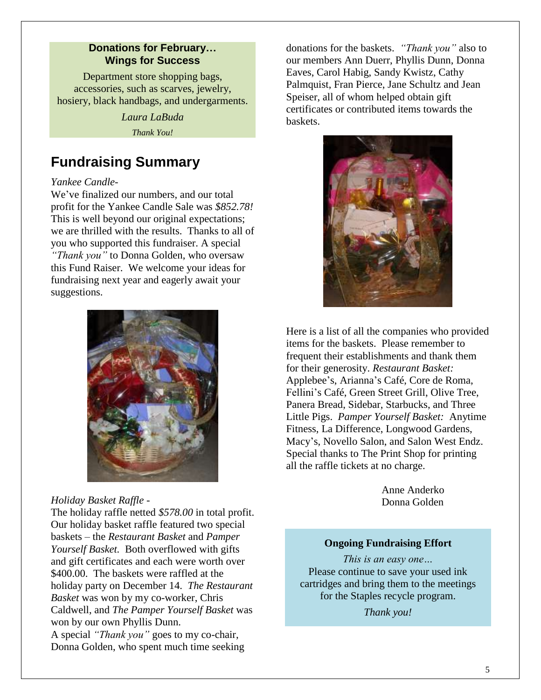### **Donations for February… Wings for Success**

Department store shopping bags, accessories, such as scarves, jewelry, hosiery, black handbags, and undergarments.

> *Laura LaBuda Thank You!*

# **Fundraising Summary**

### *Yankee Candle-*

We've finalized our numbers, and our total profit for the Yankee Candle Sale was *\$852.78!* This is well beyond our original expectations; we are thrilled with the results. Thanks to all of you who supported this fundraiser. A special *"Thank you"* to Donna Golden, who oversaw this Fund Raiser. We welcome your ideas for fundraising next year and eagerly await your suggestions.



*Holiday Basket Raffle -*

The holiday raffle netted *\$578.00* in total profit. Our holiday basket raffle featured two special baskets – the *Restaurant Basket* and *Pamper Yourself Basket.* Both overflowed with gifts and gift certificates and each were worth over \$400.00. The baskets were raffled at the holiday party on December 14. *The Restaurant Basket* was won by my co-worker, Chris Caldwell, and *The Pamper Yourself Basket* was won by our own Phyllis Dunn. A special *"Thank you"* goes to my co-chair, Donna Golden, who spent much time seeking

donations for the baskets. *"Thank you"* also to our members Ann Duerr, Phyllis Dunn, Donna Eaves, Carol Habig, Sandy Kwistz, Cathy Palmquist, Fran Pierce, Jane Schultz and Jean Speiser, all of whom helped obtain gift certificates or contributed items towards the baskets.



Here is a list of all the companies who provided items for the baskets. Please remember to frequent their establishments and thank them for their generosity. *Restaurant Basket:* Applebee's, Arianna's Café, Core de Roma, Fellini's Café, Green Street Grill, Olive Tree, Panera Bread, Sidebar, Starbucks, and Three Little Pigs. *Pamper Yourself Basket:* Anytime Fitness, La Difference, Longwood Gardens, Macy's, Novello Salon, and Salon West Endz. Special thanks to The Print Shop for printing all the raffle tickets at no charge.

> Anne Anderko Donna Golden

### **Ongoing Fundraising Effort**

*This is an easy one…* Please continue to save your used ink cartridges and bring them to the meetings for the Staples recycle program.

*Thank you!*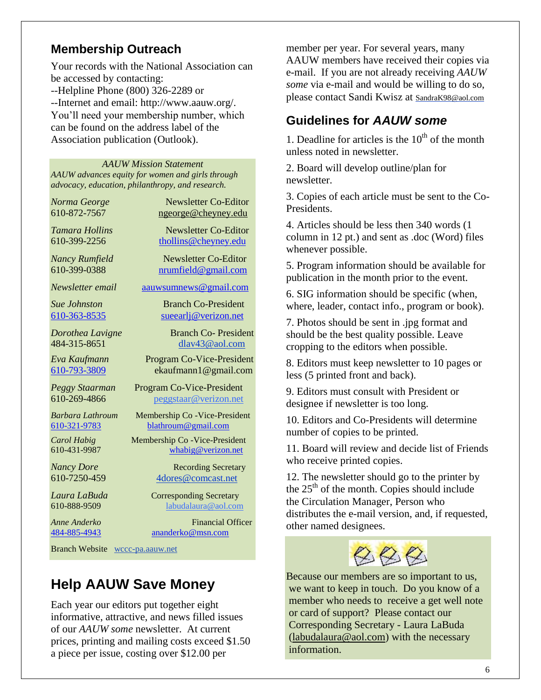## **Membership Outreach**

Your records with the National Association can be accessed by contacting: --Helpline Phone (800) 326-2289 or --Internet and email: http://www.aauw.org/. You'll need your membership number, which can be found on the address label of the Association publication (Outlook).

#### *AAUW Mission Statement*

*AAUW advances equity for women and girls through advocacy, education, philanthropy, and research.*

*Norma George* Newsletter Co-Editor 610-872-7567 [ngeorge@cheyney.edu](mailto:ngeorge@cheyney.ecu)

*Tamara Hollins* Newsletter Co-Editor 610-399-2256 [thollins@cheyney.edu](mailto:thollins@cheyney.edu)

*Nancy Rumfield* **Newsletter Co-Editor** 610-399-0388 [nrumfield@gmail.com](mailto:nrumfield@gmail.com)

*Newsletter email* [aauwsumnews@gmail.com](mailto:aauwsumnews@gmail.com)

*Sue Johnston* Branch Co-President [610-363-8535](mailto:610-363-8535) [sueearlj@verizon.net](mailto:sueearlj@verizon.net)

*Dorothea Lavigne* Branch Co- President 484-315-8651 [dlav43@aol.com](mailto:franpierce@verizon.net) *Eva Kaufmann* Program Co-Vice-President [610-793-3809](mailto:610-793-3809) ekaufmann1@gmail.com

*Peggy Staarman* Program Co-Vice-President 610-269-4866 [peggstaar@verizon.net](mailto:4dores@comcast.net)

*Barbara Lathroum* Membership Co -Vice-President [610-321-9783](mailto:610-321-9783) [blathroum@gmail.com](mailto:blathroum@gmail.com)

*Carol Habig* Membership Co -Vice-President 610-431-9987 [whabig@verizon.net](mailto:mjschultz46@hotmail.com)

*Nancy Dore* Recording Secretary 610-7250-459 4dores@comcast.net

*Laura LaBuda* Corresponding Secretary<br>610-888-9509 **Demonstrata Labudalaura**@aol.com labudalaura@aol.com

*Anne Anderko* Financial Officer [484-885-4943](mailto:484-885-4943) [ananderko@msn.com](mailto:ananderko@msn.com)

Branch Website [wccc-pa.aauw.net](http://wccc-pa.aauw.net/)

# **Help AAUW Save Money**

Each year our editors put together eight informative, attractive, and news filled issues of our *AAUW some* newsletter. At current prices, printing and mailing costs exceed \$1.50 a piece per issue, costing over \$12.00 per

member per year. For several years, many AAUW members have received their copies via e-mail. If you are not already receiving *AAUW some* via e-mail and would be willing to do so, please contact Sandi Kwisz at [SandraK98@aol.com](mailto:SandraK98@aol.com)

# **Guidelines for** *AAUW some*

1. Deadline for articles is the  $10<sup>th</sup>$  of the month unless noted in newsletter.

2. Board will develop outline/plan for newsletter.

3. Copies of each article must be sent to the Co-Presidents.

4. Articles should be less then 340 words (1 column in 12 pt.) and sent as .doc (Word) files whenever possible.

5. Program information should be available for publication in the month prior to the event.

6. SIG information should be specific (when, where, leader, contact info., program or book).

7. Photos should be sent in .jpg format and should be the best quality possible. Leave cropping to the editors when possible.

8. Editors must keep newsletter to 10 pages or less (5 printed front and back).

9. Editors must consult with President or designee if newsletter is too long.

10. Editors and Co-Presidents will determine number of copies to be printed.

11. Board will review and decide list of Friends who receive printed copies.

12. The newsletter should go to the printer by the  $25<sup>th</sup>$  of the month. Copies should include the Circulation Manager, Person who distributes the e-mail version, and, if requested, other named designees.



Because our members are so important to us, we want to keep in touch. Do you know of a member who needs to receive a get well note or card of support? Please contact our Corresponding Secretary - Laura LaBuda [\(labudalaura@aol.com\)](mailto:labudalaura@aol.com) with the necessary information.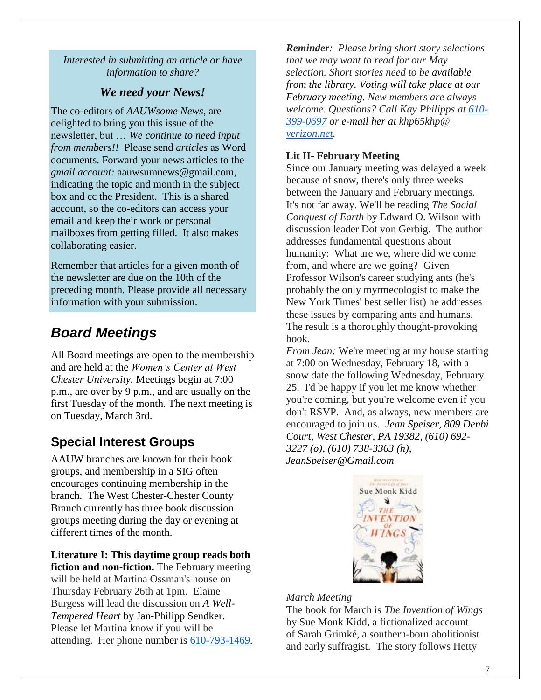*Interested in submitting an article or have information to share?*

## *We need your News!*

The co-editors of *AAUWsome News*, are delighted to bring you this issue of the newsletter, but … *We continue to need input from members!!* Please send *articles* as Word documents. Forward your news articles to the *gmail account:* [aauwsumnews@gmail.com,](mailto:aauwsum@gmail.com) indicating the topic and month in the subject box and cc the President. This is a shared account, so the co-editors can access your email and keep their work or personal mailboxes from getting filled. It also makes collaborating easier.

Remember that articles for a given month of the newsletter are due on the 10th of the preceding month*.* Please provide all necessary information with your submission.

# *Board Meetings*

All Board meetings are open to the membership and are held at the *Women's Center at West Chester University.* Meetings begin at 7:00 p.m., are over by 9 p.m., and are usually on the first Tuesday of the month. The next meeting is on Tuesday, March 3rd.

# **Special Interest Groups**

AAUW branches are known for their book groups, and membership in a SIG often encourages continuing membership in the branch. The West Chester-Chester County Branch currently has three book discussion groups meeting during the day or evening at different times of the month.

## **Literature I: This daytime group reads both**

**fiction and non-fiction.** The February meeting will be held at Martina Ossman's house on Thursday February 26th at 1pm. Elaine Burgess will lead the discussion on *A Well-Tempered Heart* by Jan-Philipp Sendker. Please let Martina know if you will be attending. Her phone number is 610-793-1469.

*Reminder: Please bring short story selections that we may want to read for our May selection. Short stories need to be available from the library. Voting will take place at our February meeting. New members are always welcome. Questions? Call Kay Philipps at 610- 399-0697 or e-mail her at khp65khp@ [verizon.net.](http://verizon.net/)*

## **Lit II- February Meeting**

Since our January meeting was delayed a week because of snow, there's only three weeks between the January and February meetings. It's not far away. We'll be reading *The Social Conquest of Earth* by Edward O. Wilson with discussion leader Dot von Gerbig. The author addresses fundamental questions about humanity: What are we, where did we come from, and where are we going? Given Professor Wilson's career studying ants (he's probably the only myrmecologist to make the New York Times' best seller list) he addresses these issues by comparing ants and humans. The result is a thoroughly thought-provoking book.

*From Jean:* We're meeting at my house starting at 7:00 on Wednesday, February 18, with a snow date the following Wednesday, February 25. I'd be happy if you let me know whether you're coming, but you're welcome even if you don't RSVP. And, as always, new members are encouraged to join us. *Jean Speiser, 809 Denbi Court, West Chester, PA 19382, [\(610\) 692-](tel:/%28610%29%20692-3227) [3227](tel:/%28610%29%20692-3227) (o), [\(610\) 738-3363](tel:/%28610%29%20738-3363) (h), [JeanSpeiser@Gmail.com](mailto:JeanSpeiser@Gmail.com)*



#### *March Meeting*

The book for March is *The Invention of Wings* by Sue Monk Kidd, a fictionalized account of Sarah Grimké, a southern-born abolitionist and early suffragist. The story follows Hetty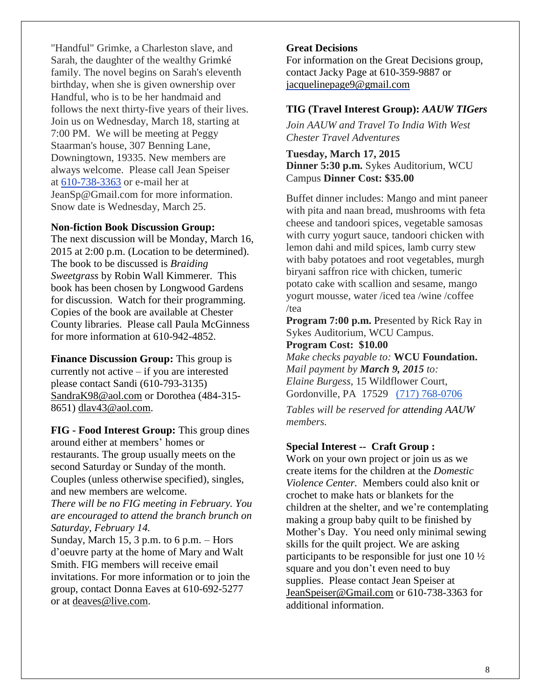"Handful" Grimke, a Charleston slave, and Sarah, the daughter of the wealthy Grimké family. The novel begins on Sarah's eleventh birthday, when she is given ownership over Handful, who is to be her handmaid and follows the next thirty-five years of their lives. Join us on Wednesday, March 18, starting at 7:00 PM. We will be meeting at Peggy Staarman's house, 307 Benning Lane, Downingtown, 19335. New members are always welcome. Please call Jean Speiser at [610-738-3363](mailto:610-738-3363) or e-mail her at JeanSp@Gmail.com for more information. Snow date is Wednesday, March 25.

### **Non-fiction Book Discussion Group:**

The next discussion will be Monday, March 16, 2015 at 2:00 p.m. (Location to be determined). The book to be discussed is *Braiding Sweetgrass* by Robin Wall Kimmerer. This book has been chosen by Longwood Gardens for discussion. Watch for their programming. Copies of the book are available at Chester County libraries. Please call Paula McGinness for more information at 610-942-4852.

**Finance Discussion Group:** This group is currently not active – if you are interested please contact Sandi (610-793-3135) [SandraK98@aol.com](mailto:SandraK98@aol.com) or Dorothea (484-315- 8651) [dlav43@aol.com.](mailto:dlav43@aol.com)

**FIG - Food Interest Group:** This group dines around either at members' homes or restaurants. The group usually meets on the second Saturday or Sunday of the month. Couples (unless otherwise specified), singles, and new members are welcome. *There will be no FIG meeting in February. You are encouraged to attend the branch brunch on Saturday, February 14.* Sunday, March 15, 3 p.m. to 6 p.m.  $-$  Hors d'oeuvre party at the home of Mary and Walt

Smith. FIG members will receive email invitations. For more information or to join the group, contact Donna Eaves at 610-692-5277 or at [deaves@live.com.](mailto:deaves@live.com)

### **Great Decisions**

For information on the Great Decisions group, contact Jacky Page at 610-359-9887 or [jacquelinepage9@gmail.com](mailto:jacquelinepage9@gmail.com)

### **TIG (Travel Interest Group):** *AAUW TIGers*

*Join AAUW and Travel To India With West Chester Travel Adventures*

**Tuesday, March 17, 2015 Dinner 5:30 p.m.** Sykes Auditorium, WCU Campus **Dinner Cost: \$35.00**

Buffet dinner includes: Mango and mint paneer with pita and naan bread, mushrooms with feta cheese and tandoori spices, vegetable samosas with curry yogurt sauce, tandoori chicken with lemon dahi and mild spices, lamb curry stew with baby potatoes and root vegetables, murgh biryani saffron rice with chicken, tumeric potato cake with scallion and sesame, mango yogurt mousse, water /iced tea /wine /coffee /tea

**Program 7:00 p.m.** Presented by Rick Ray in Sykes Auditorium, WCU Campus.

### **Program Cost: \$10.00**

*Make checks payable to:* **WCU Foundation.** *Mail payment by March 9, 2015 to: Elaine Burgess,* 15 Wildflower Court, Gordonville, PA 17529 (717) 768-0706

*Tables will be reserved for attending AAUW members.*

#### **Special Interest -- Craft Group :**

Work on your own project or join us as we create items for the children at the *Domestic Violence Center.* Members could also knit or crochet to make hats or blankets for the children at the shelter, and we're contemplating making a group baby quilt to be finished by Mother's Day. You need only minimal sewing skills for the quilt project. We are asking participants to be responsible for just one 10 ½ square and you don't even need to buy supplies. Please contact Jean Speiser at [JeanSpeiser@Gmail.com](mailto:JeanSpeiser@Gmail.com) or 610-738-3363 for additional information.